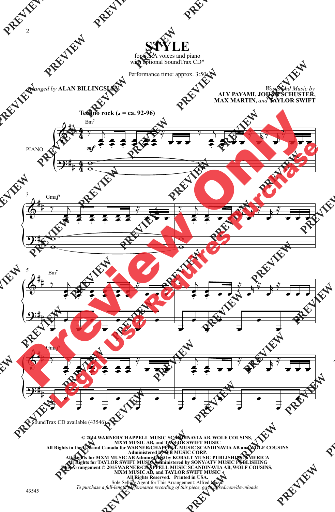## **STYLE**

for S.S.A voices and piano with optional SoundTrax CD\*

Performance time: approx. 3:50

## *Arranged by* **ALAN BILLINGSLEY**

*Words and Music by* **ALY PAYAMI, JOHAN SCHUSTER, MAX MARTIN,** *and* **TAYLOR SWIFT**



\* SoundTrax CD available (43546).

© 2014 WARNER/CHAPPELL MUSIC SCANDINAVIA AB, WOLF COUSINS,<br>MXM MUSIC AB, and TAYLOR SWIFT MUSIC<br>All Rights in the U.S. and Canada for WARNER/CHAPPELL MUSIC SCANDINAVIA AB and WOLF COUSINS<br>Administered by WB MUSIC CORP.<br>All **All Rights for TAYLOR SWIFT MUSIC Administered by SONY/ATV MUSIC PUBLISHING This Arrangement © 2015 WARNER/CHAPPELL MUSIC SCANDINAVIA AB, WOLF COUSINS, MXM MUSIC AB, and TAYLOR SWIFT MUSIC All Rights Reserved. Printed in USA.** Sole Selling Agent for This Arrangement: Alfred Music *To purchase a full-length performance recording of this piece, go to alfred.com/downloads*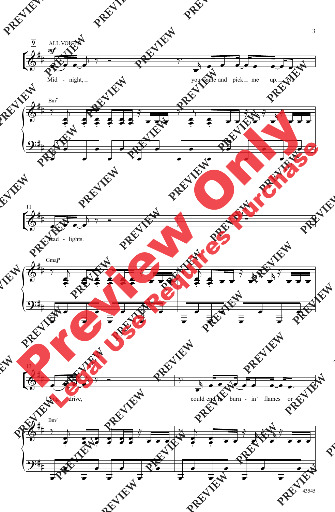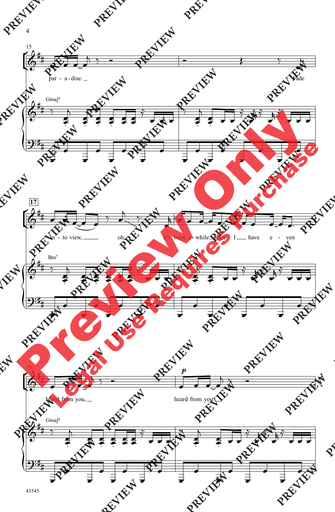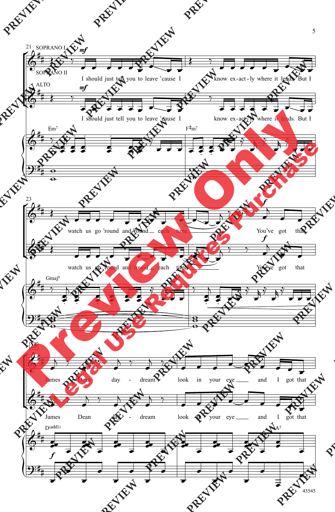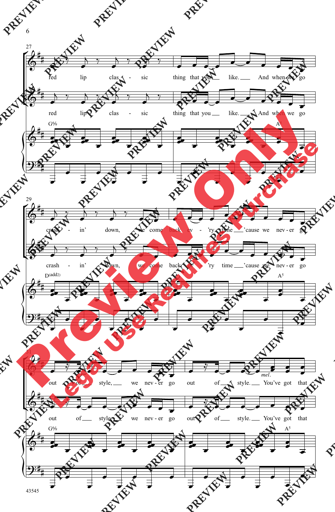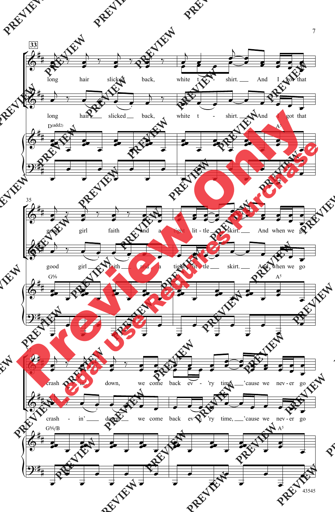

<sup>7</sup>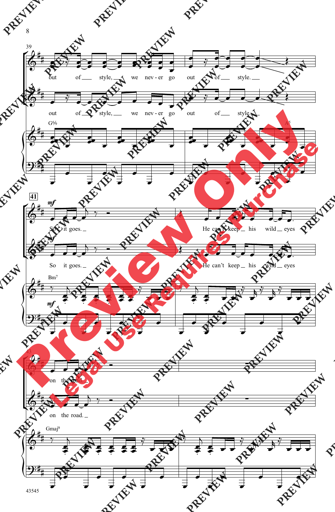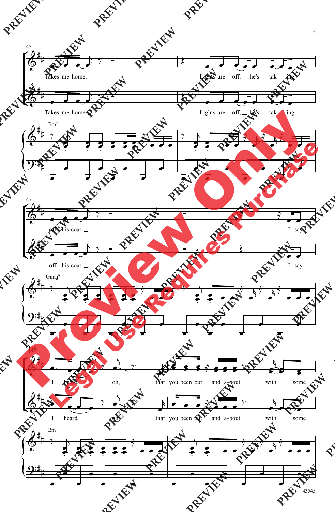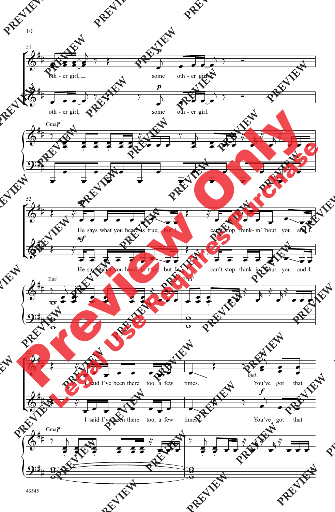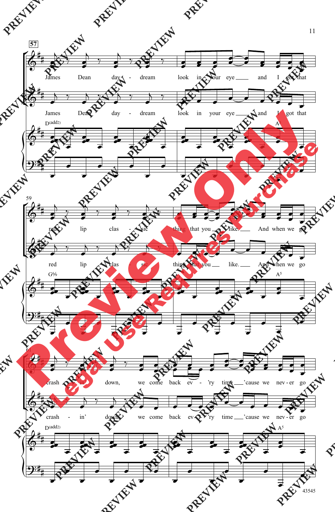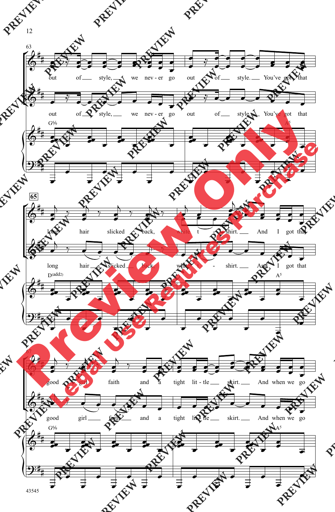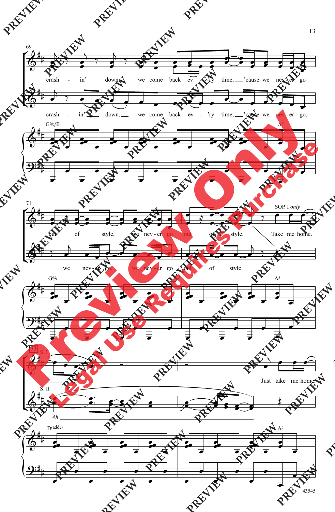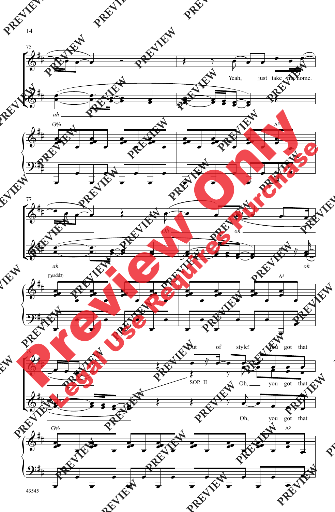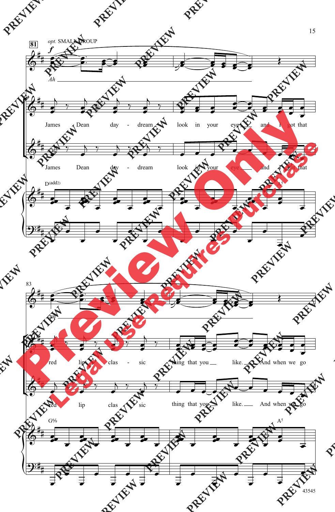